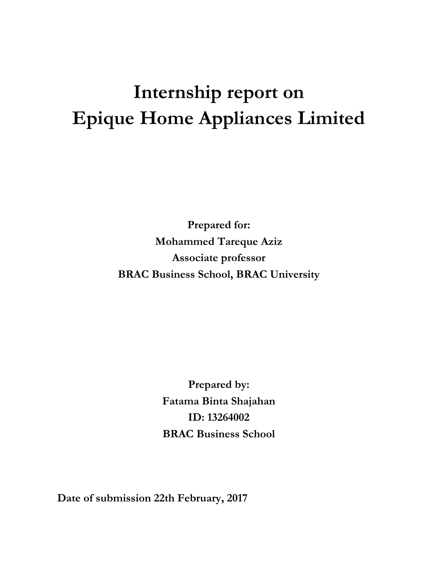# **Internship report on Epique Home Appliances Limited**

**Prepared for: Mohammed Tareque Aziz Associate professor BRAC Business School, BRAC University** 

> **Prepared by: Fatama Binta Shajahan ID: 13264002 BRAC Business School**

 **Date of submission 22th February, 2017**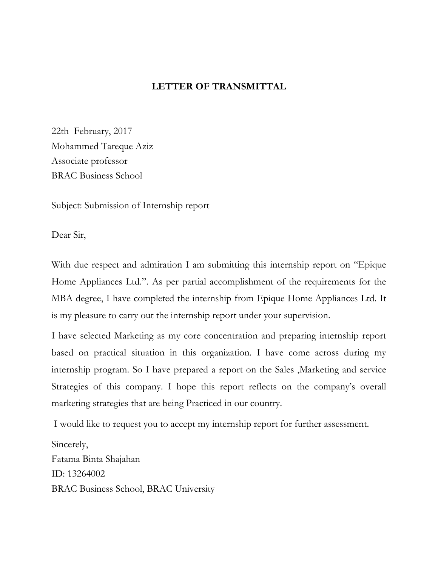### **LETTER OF TRANSMITTAL**

22th February, 2017 Mohammed Tareque Aziz Associate professor BRAC Business School

Subject: Submission of Internship report

Dear Sir,

With due respect and admiration I am submitting this internship report on "Epique Home Appliances Ltd.". As per partial accomplishment of the requirements for the MBA degree, I have completed the internship from Epique Home Appliances Ltd. It is my pleasure to carry out the internship report under your supervision.

I have selected Marketing as my core concentration and preparing internship report based on practical situation in this organization. I have come across during my internship program. So I have prepared a report on the Sales ,Marketing and service Strategies of this company. I hope this report reflects on the company's overall marketing strategies that are being Practiced in our country.

I would like to request you to accept my internship report for further assessment.

Sincerely, Fatama Binta Shajahan ID: 13264002 BRAC Business School, BRAC University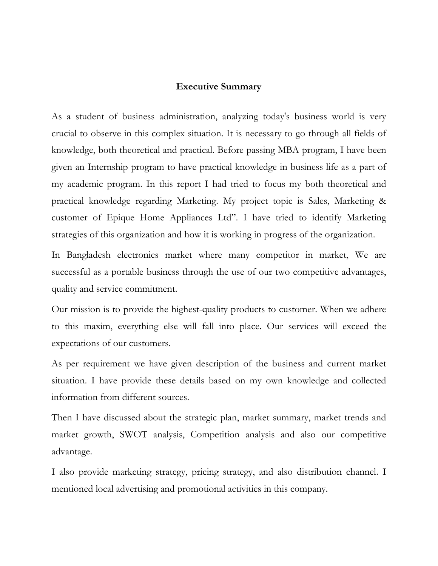#### **Executive Summary**

As a student of business administration, analyzing today's business world is very crucial to observe in this complex situation. It is necessary to go through all fields of knowledge, both theoretical and practical. Before passing MBA program, I have been given an Internship program to have practical knowledge in business life as a part of my academic program. In this report I had tried to focus my both theoretical and practical knowledge regarding Marketing. My project topic is Sales, Marketing & customer of Epique Home Appliances Ltd". I have tried to identify Marketing strategies of this organization and how it is working in progress of the organization.

In Bangladesh electronics market where many competitor in market, We are successful as a portable business through the use of our two competitive advantages, quality and service commitment.

Our mission is to provide the highest-quality products to customer. When we adhere to this maxim, everything else will fall into place. Our services will exceed the expectations of our customers.

As per requirement we have given description of the business and current market situation. I have provide these details based on my own knowledge and collected information from different sources.

Then I have discussed about the strategic plan, market summary, market trends and market growth, SWOT analysis, Competition analysis and also our competitive advantage.

I also provide marketing strategy, pricing strategy, and also distribution channel. I mentioned local advertising and promotional activities in this company.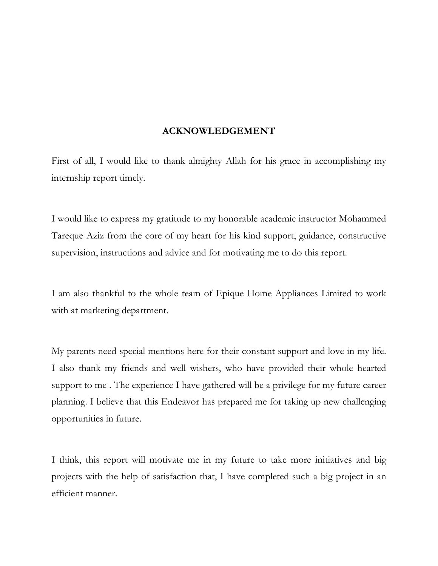#### **ACKNOWLEDGEMENT**

First of all, I would like to thank almighty Allah for his grace in accomplishing my internship report timely.

I would like to express my gratitude to my honorable academic instructor Mohammed Tareque Aziz from the core of my heart for his kind support, guidance, constructive supervision, instructions and advice and for motivating me to do this report.

I am also thankful to the whole team of Epique Home Appliances Limited to work with at marketing department.

My parents need special mentions here for their constant support and love in my life. I also thank my friends and well wishers, who have provided their whole hearted support to me . The experience I have gathered will be a privilege for my future career planning. I believe that this Endeavor has prepared me for taking up new challenging opportunities in future.

I think, this report will motivate me in my future to take more initiatives and big projects with the help of satisfaction that, I have completed such a big project in an efficient manner.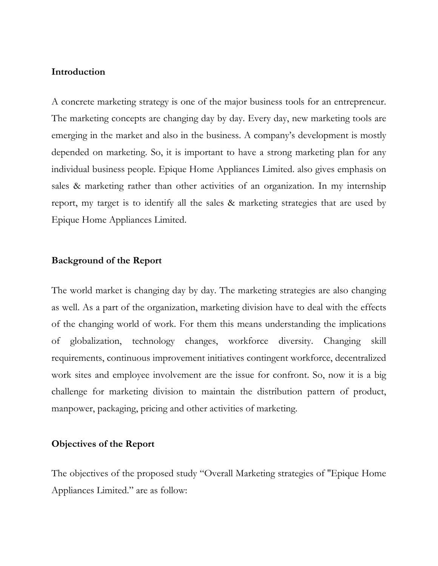#### **Introduction**

A concrete marketing strategy is one of the major business tools for an entrepreneur. The marketing concepts are changing day by day. Every day, new marketing tools are emerging in the market and also in the business. A company's development is mostly depended on marketing. So, it is important to have a strong marketing plan for any individual business people. Epique Home Appliances Limited. also gives emphasis on sales & marketing rather than other activities of an organization. In my internship report, my target is to identify all the sales & marketing strategies that are used by Epique Home Appliances Limited.

#### **Background of the Report**

The world market is changing day by day. The marketing strategies are also changing as well. As a part of the organization, marketing division have to deal with the effects of the changing world of work. For them this means understanding the implications of globalization, technology changes, workforce diversity. Changing skill requirements, continuous improvement initiatives contingent workforce, decentralized work sites and employee involvement are the issue for confront. So, now it is a big challenge for marketing division to maintain the distribution pattern of product, manpower, packaging, pricing and other activities of marketing.

### **Objectives of the Report**

The objectives of the proposed study "Overall Marketing strategies of ''Epique Home Appliances Limited." are as follow: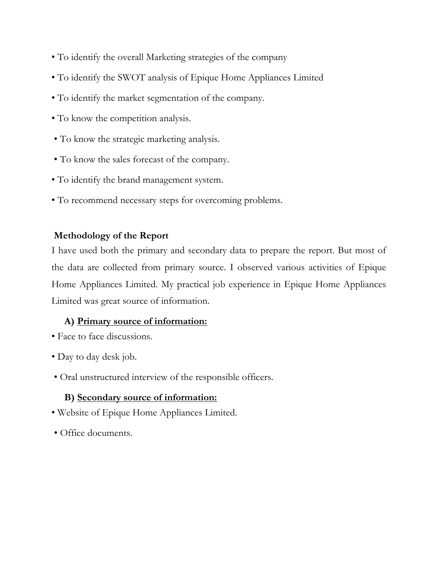- To identify the overall Marketing strategies of the company
- To identify the SWOT analysis of Epique Home Appliances Limited
- To identify the market segmentation of the company.
- To know the competition analysis.
- To know the strategic marketing analysis.
- To know the sales forecast of the company.
- To identify the brand management system.
- To recommend necessary steps for overcoming problems.

### **Methodology of the Report**

I have used both the primary and secondary data to prepare the report. But most of the data are collected from primary source. I observed various activities of Epique Home Appliances Limited. My practical job experience in Epique Home Appliances Limited was great source of information.

### **A) Primary source of information:**

- Face to face discussions.
- Day to day desk job.
- Oral unstructured interview of the responsible officers.

### **B) Secondary source of information:**

- Website of Epique Home Appliances Limited.
- Office documents.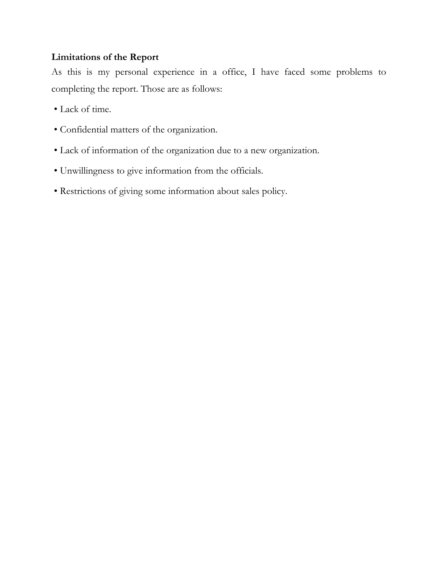# **Limitations of the Report**

As this is my personal experience in a office, I have faced some problems to completing the report. Those are as follows:

- Lack of time.
- Confidential matters of the organization.
- Lack of information of the organization due to a new organization.
- Unwillingness to give information from the officials.
- Restrictions of giving some information about sales policy.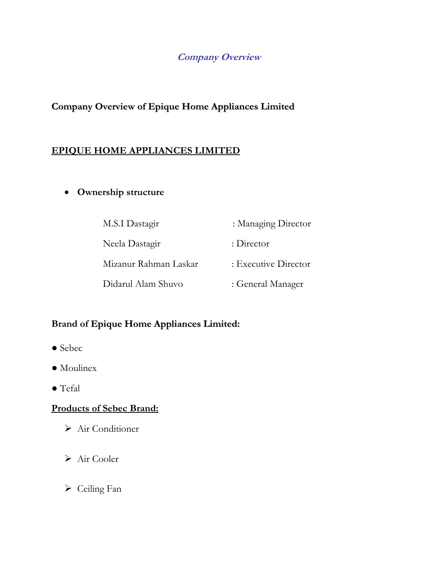# **Company Overview**

# **Company Overview of Epique Home Appliances Limited**

# **EPIQUE HOME APPLIANCES LIMITED**

# **Ownership structure**

| M.S.I Dastagir        | : Managing Director  |
|-----------------------|----------------------|
| Neela Dastagir        | $:$ Director         |
| Mizanur Rahman Laskar | : Executive Director |
| Didarul Alam Shuvo    | : General Manager    |

# **Brand of Epique Home Appliances Limited:**

- Sebec
- Moulinex
- Tefal

### **Products of Sebec Brand:**

- Air Conditioner
- Air Cooler
- Ceiling Fan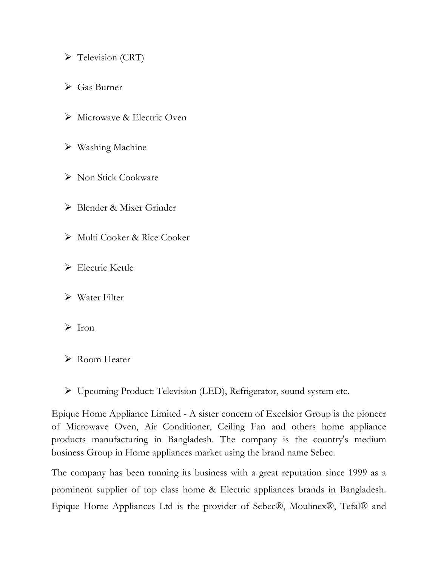- > Television (CRT)
- Gas Burner
- ▶ Microwave & Electric Oven
- Washing Machine
- ▶ Non Stick Cookware
- Blender & Mixer Grinder
- Multi Cooker & Rice Cooker
- Electric Kettle
- $\triangleright$  Water Filter
- $\triangleright$  Iron
- Room Heater
- Upcoming Product: Television (LED), Refrigerator, sound system etc.

Epique Home Appliance Limited - A sister concern of Excelsior Group is the pioneer of Microwave Oven, Air Conditioner, Ceiling Fan and others home appliance products manufacturing in Bangladesh. The company is the country's medium business Group in Home appliances market using the brand name Sebec.

The company has been running its business with a great reputation since 1999 as a prominent supplier of top class home & Electric appliances brands in Bangladesh. Epique Home Appliances Ltd is the provider of Sebec®, Moulinex®, Tefal® and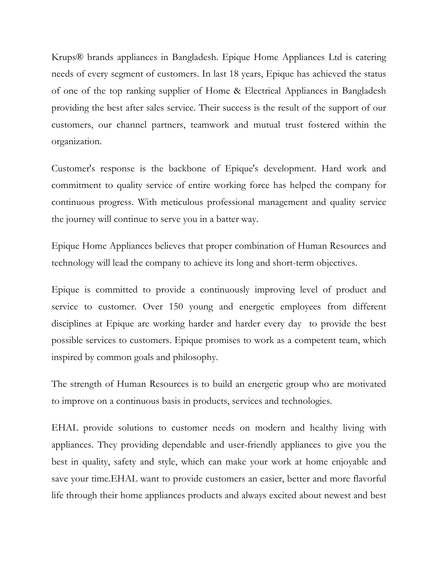Krups® brands appliances in Bangladesh. Epique Home Appliances Ltd is catering needs of every segment of customers. In last 18 years, Epique has achieved the status of one of the top ranking supplier of Home & Electrical Appliances in Bangladesh providing the best after sales service. Their success is the result of the support of our customers, our channel partners, teamwork and mutual trust fostered within the organization.

Customer's response is the backbone of Epique's development. Hard work and commitment to quality service of entire working force has helped the company for continuous progress. With meticulous professional management and quality service the journey will continue to serve you in a batter way.

Epique Home Appliances believes that proper combination of Human Resources and technology will lead the company to achieve its long and short-term objectives.

Epique is committed to provide a continuously improving level of product and service to customer. Over 150 young and energetic employees from different disciplines at Epique are working harder and harder every day to provide the best possible services to customers. Epique promises to work as a competent team, which inspired by common goals and philosophy.

The strength of Human Resources is to build an energetic group who are motivated to improve on a continuous basis in products, services and technologies.

EHAL provide solutions to customer needs on modern and healthy living with appliances. They providing dependable and user-friendly appliances to give you the best in quality, safety and style, which can make your work at home enjoyable and save your time.EHAL want to provide customers an easier, better and more flavorful life through their home appliances products and always excited about newest and best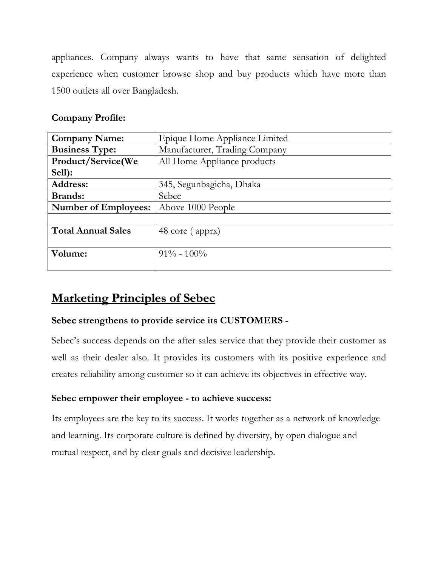appliances. Company always wants to have that same sensation of delighted experience when customer browse shop and buy products which have more than 1500 outlets all over Bangladesh.

| <b>Company Name:</b>        | Epique Home Appliance Limited |
|-----------------------------|-------------------------------|
| <b>Business Type:</b>       | Manufacturer, Trading Company |
| Product/Service(We          | All Home Appliance products   |
| Sell):                      |                               |
| Address:                    | 345, Segunbagicha, Dhaka      |
| <b>Brands:</b>              | Sebec                         |
| <b>Number of Employees:</b> | Above 1000 People             |
|                             |                               |
| <b>Total Annual Sales</b>   | 48 core (apprx)               |
|                             |                               |
| Volume:                     | $91\% - 100\%$                |
|                             |                               |

# **Company Profile:**

# **Marketing Principles of Sebec**

# Sebec strengthens to provide service its CUSTOMERS -

Sebec's success depends on the after sales service that they provide their customer as well as their dealer also. It provides its customers with its positive experience and creates reliability among customer so it can achieve its objectives in effective way.

# **Sebec empower their employee - to achieve success:**

Its employees are the key to its success. It works together as a network of knowledge and learning. Its corporate culture is defined by diversity, by open dialogue and mutual respect, and by clear goals and decisive leadership.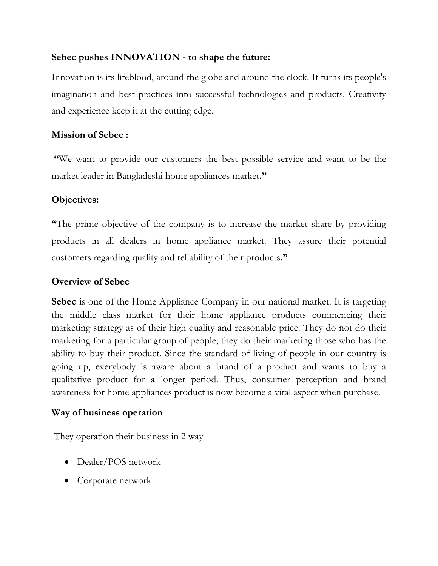# **Sebec pushes INNOVATION - to shape the future:**

Innovation is its lifeblood, around the globe and around the clock. It turns its people's imagination and best practices into successful technologies and products. Creativity and experience keep it at the cutting edge.

# **Mission of Sebec :**

 **"**We want to provide our customers the best possible service and want to be the market leader in Bangladeshi home appliances market**."** 

# **Objectives:**

**"**The prime objective of the company is to increase the market share by providing products in all dealers in home appliance market. They assure their potential customers regarding quality and reliability of their products**."** 

# **Overview of Sebec**

**Sebec** is one of the Home Appliance Company in our national market. It is targeting the middle class market for their home appliance products commencing their marketing strategy as of their high quality and reasonable price. They do not do their marketing for a particular group of people; they do their marketing those who has the ability to buy their product. Since the standard of living of people in our country is going up, everybody is aware about a brand of a product and wants to buy a qualitative product for a longer period. Thus, consumer perception and brand awareness for home appliances product is now become a vital aspect when purchase.

# **Way of business operation**

They operation their business in 2 way

- Dealer/POS network
- Corporate network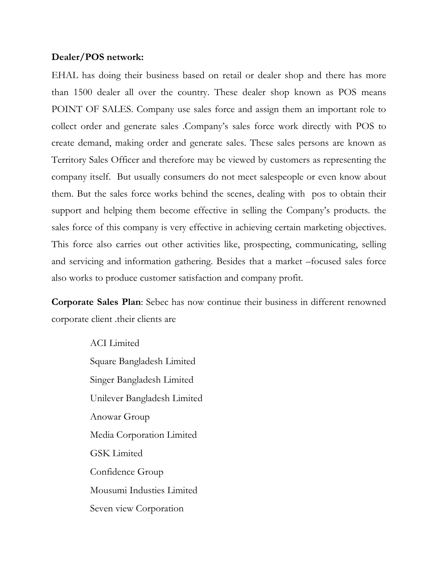### **Dealer/POS network:**

EHAL has doing their business based on retail or dealer shop and there has more than 1500 dealer all over the country. These dealer shop known as POS means POINT OF SALES. Company use sales force and assign them an important role to collect order and generate sales .Company's sales force work directly with POS to create demand, making order and generate sales. These sales persons are known as Territory Sales Officer and therefore may be viewed by customers as representing the company itself. But usually consumers do not meet salespeople or even know about them. But the sales force works behind the scenes, dealing with pos to obtain their support and helping them become effective in selling the Company's products. the sales force of this company is very effective in achieving certain marketing objectives. This force also carries out other activities like, prospecting, communicating, selling and servicing and information gathering. Besides that a market –focused sales force also works to produce customer satisfaction and company profit.

**Corporate Sales Plan**: Sebec has now continue their business in different renowned corporate client .their clients are

> ACI Limited Square Bangladesh Limited Singer Bangladesh Limited Unilever Bangladesh Limited Anowar Group Media Corporation Limited GSK Limited Confidence Group Mousumi Industies Limited Seven view Corporation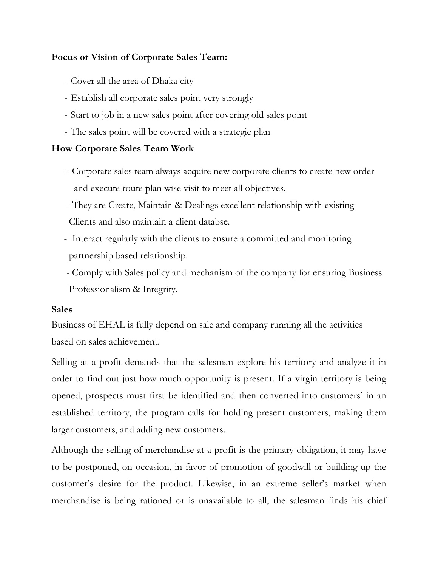# **Focus or Vision of Corporate Sales Team:**

- Cover all the area of Dhaka city
- Establish all corporate sales point very strongly
- Start to job in a new sales point after covering old sales point
- The sales point will be covered with a strategic plan

# **How Corporate Sales Team Work**

- Corporate sales team always acquire new corporate clients to create new order and execute route plan wise visit to meet all objectives.
- They are Create, Maintain & Dealings excellent relationship with existing Clients and also maintain a client databse.
- Interact regularly with the clients to ensure a committed and monitoring partnership based relationship.
- Comply with Sales policy and mechanism of the company for ensuring Business Professionalism & Integrity.

### **Sales**

Business of EHAL is fully depend on sale and company running all the activities based on sales achievement.

Selling at a profit demands that the salesman explore his territory and analyze it in order to find out just how much opportunity is present. If a virgin territory is being opened, prospects must first be identified and then converted into customers' in an established territory, the program calls for holding present customers, making them larger customers, and adding new customers.

Although the selling of merchandise at a profit is the primary obligation, it may have to be postponed, on occasion, in favor of promotion of goodwill or building up the customer's desire for the product. Likewise, in an extreme seller's market when merchandise is being rationed or is unavailable to all, the salesman finds his chief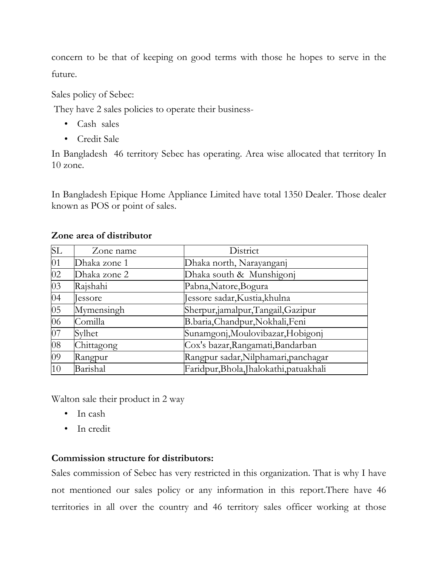concern to be that of keeping on good terms with those he hopes to serve in the future.

Sales policy of Sebec:

They have 2 sales policies to operate their business-

- Cash sales
- Credit Sale

In Bangladesh 46 territory Sebec has operating. Area wise allocated that territory In 10 zone.

In Bangladesh Epique Home Appliance Limited have total 1350 Dealer. Those dealer known as POS or point of sales.

# **Zone area of distributor**

| <b>SL</b> | Zone name      | District                                |
|-----------|----------------|-----------------------------------------|
| 01        | Dhaka zone 1   | Dhaka north, Narayanganj                |
| 02        | Dhaka zone 2   | Dhaka south & Munshigonj                |
| 03        | Rajshahi       | Pabna, Natore, Bogura                   |
| 04        | <b>Jessore</b> | Jessore sadar, Kustia, khulna           |
| 05        | Mymensingh     | Sherpur,jamalpur,Tangail,Gazipur        |
| 06        | Comilla        | B.baria, Chandpur, Nokhali, Feni        |
| 07        | Sylhet         | Sunamgonj, Moulovibazar, Hobigonj       |
| 08        | Chittagong     | Cox's bazar, Rangamati, Bandarban       |
| 09        | Rangpur        | Rangpur sadar, Nilphamari, panchagar    |
| 10        | Barishal       | Faridpur, Bhola, Jhalokathi, patuakhali |

Walton sale their product in 2 way

- In cash
- In credit

# **Commission structure for distributors:**

Sales commission of Sebec has very restricted in this organization. That is why I have not mentioned our sales policy or any information in this report.There have 46 territories in all over the country and 46 territory sales officer working at those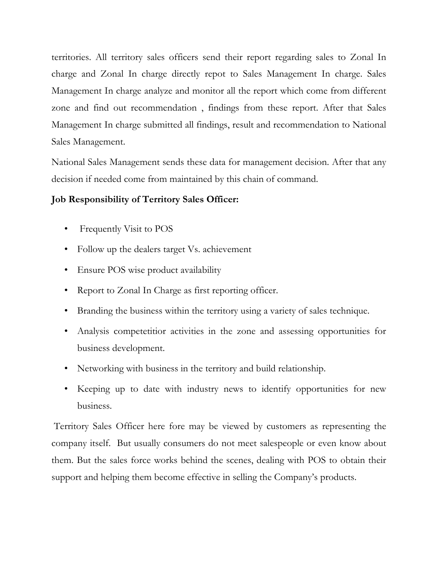territories. All territory sales officers send their report regarding sales to Zonal In charge and Zonal In charge directly repot to Sales Management In charge. Sales Management In charge analyze and monitor all the report which come from different zone and find out recommendation , findings from these report. After that Sales Management In charge submitted all findings, result and recommendation to National Sales Management.

National Sales Management sends these data for management decision. After that any decision if needed come from maintained by this chain of command.

### **Job Responsibility of Territory Sales Officer:**

- Frequently Visit to POS
- Follow up the dealers target Vs. achievement
- Ensure POS wise product availability
- Report to Zonal In Charge as first reporting officer.
- Branding the business within the territory using a variety of sales technique.
- Analysis competetitior activities in the zone and assessing opportunities for business development.
- Networking with business in the territory and build relationship.
- Keeping up to date with industry news to identify opportunities for new business.

 Territory Sales Officer here fore may be viewed by customers as representing the company itself. But usually consumers do not meet salespeople or even know about them. But the sales force works behind the scenes, dealing with POS to obtain their support and helping them become effective in selling the Company's products.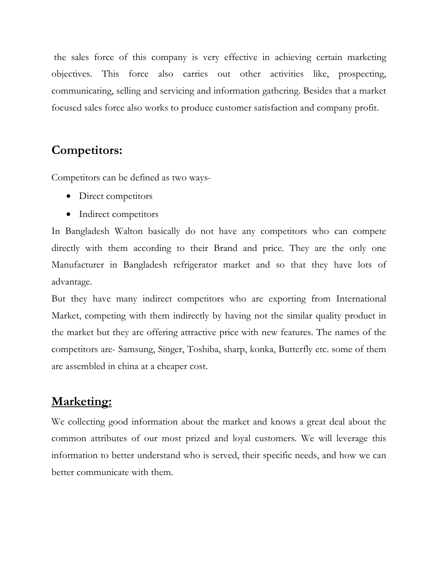the sales force of this company is very effective in achieving certain marketing objectives. This force also carries out other activities like, prospecting, communicating, selling and servicing and information gathering. Besides that a market focused sales force also works to produce customer satisfaction and company profit.

# **Competitors:**

Competitors can be defined as two ways-

- Direct competitors
- Indirect competitors

In Bangladesh Walton basically do not have any competitors who can compete directly with them according to their Brand and price. They are the only one Manufacturer in Bangladesh refrigerator market and so that they have lots of advantage.

But they have many indirect competitors who are exporting from International Market, competing with them indirectly by having not the similar quality product in the market but they are offering attractive price with new features. The names of the competitors are- Samsung, Singer, Toshiba, sharp, konka, Butterfly etc. some of them are assembled in china at a cheaper cost.

# **Marketing:**

We collecting good information about the market and knows a great deal about the common attributes of our most prized and loyal customers. We will leverage this information to better understand who is served, their specific needs, and how we can better communicate with them.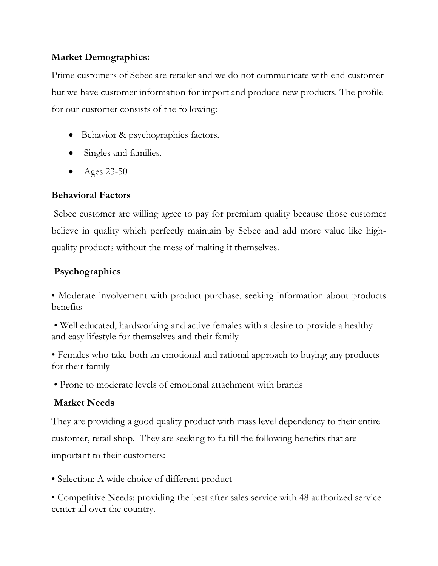# **Market Demographics:**

Prime customers of Sebec are retailer and we do not communicate with end customer but we have customer information for import and produce new products. The profile for our customer consists of the following:

- Behavior & psychographics factors.
- Singles and families.
- Ages  $23-50$

# **Behavioral Factors**

 Sebec customer are willing agree to pay for premium quality because those customer believe in quality which perfectly maintain by Sebec and add more value like highquality products without the mess of making it themselves.

# **Psychographics**

• Moderate involvement with product purchase, seeking information about products benefits

 • Well educated, hardworking and active females with a desire to provide a healthy and easy lifestyle for themselves and their family

• Females who take both an emotional and rational approach to buying any products for their family

• Prone to moderate levels of emotional attachment with brands

# **Market Needs**

They are providing a good quality product with mass level dependency to their entire customer, retail shop. They are seeking to fulfill the following benefits that are important to their customers:

• Selection: A wide choice of different product

• Competitive Needs: providing the best after sales service with 48 authorized service center all over the country.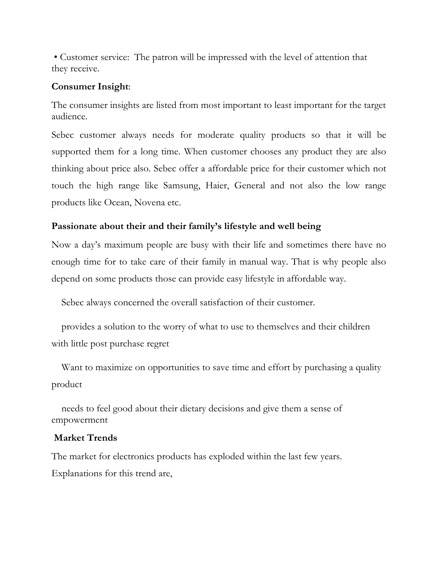• Customer service: The patron will be impressed with the level of attention that they receive.

### **Consumer Insight**:

The consumer insights are listed from most important to least important for the target audience.

Sebec customer always needs for moderate quality products so that it will be supported them for a long time. When customer chooses any product they are also thinking about price also. Sebec offer a affordable price for their customer which not touch the high range like Samsung, Haier, General and not also the low range products like Ocean, Novena etc.

# **Passionate about their and their family's lifestyle and well being**

Now a day's maximum people are busy with their life and sometimes there have no enough time for to take care of their family in manual way. That is why people also depend on some products those can provide easy lifestyle in affordable way.

Sebec always concerned the overall satisfaction of their customer.

 provides a solution to the worry of what to use to themselves and their children with little post purchase regret

Want to maximize on opportunities to save time and effort by purchasing a quality product

 needs to feel good about their dietary decisions and give them a sense of empowerment

### **Market Trends**

The market for electronics products has exploded within the last few years. Explanations for this trend are,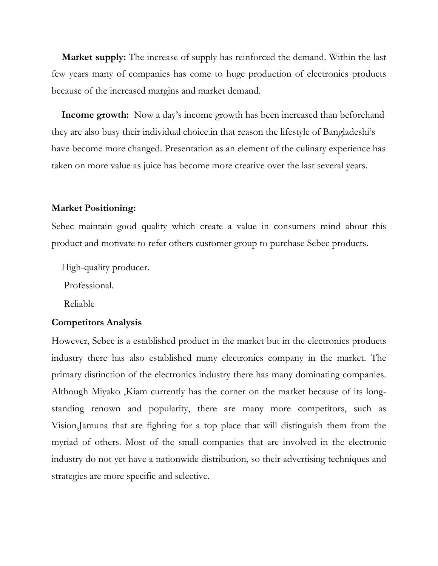**Market supply:** The increase of supply has reinforced the demand. Within the last few years many of companies has come to huge production of electronics products because of the increased margins and market demand.

 **Income growth:** Now a day's income growth has been increased than beforehand they are also busy their individual choice.in that reason the lifestyle of Bangladeshi's have become more changed. Presentation as an element of the culinary experience has taken on more value as juice has become more creative over the last several years.

#### **Market Positioning:**

Sebec maintain good quality which create a value in consumers mind about this product and motivate to refer others customer group to purchase Sebec products.

High-quality producer.

Professional.

Reliable

#### **Competitors Analysis**

However, Sebec is a established product in the market but in the electronics products industry there has also established many electronics company in the market. The primary distinction of the electronics industry there has many dominating companies. Although Miyako ,Kiam currently has the corner on the market because of its longstanding renown and popularity, there are many more competitors, such as Vision,Jamuna that are fighting for a top place that will distinguish them from the myriad of others. Most of the small companies that are involved in the electronic industry do not yet have a nationwide distribution, so their advertising techniques and strategies are more specific and selective.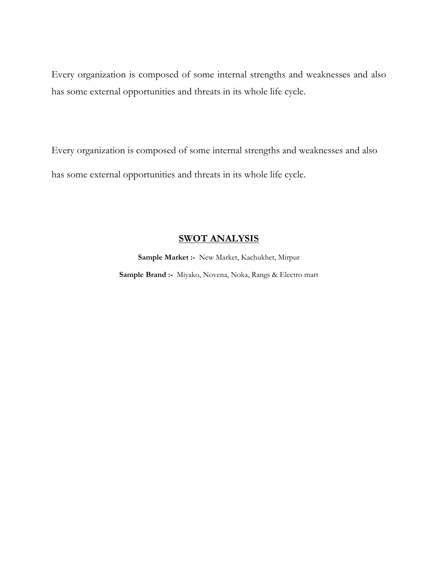Every organization is composed of some internal strengths and weaknesses and also has some external opportunities and threats in its whole life cycle.

Every organization is composed of some internal strengths and weaknesses and also has some external opportunities and threats in its whole life cycle.

### **SWOT ANALYSIS**

**Sample Market :-** New Market, Kachukhet, Mirpur **Sample Brand :-** Miyako, Novena, Noka, Rangs & Electro mart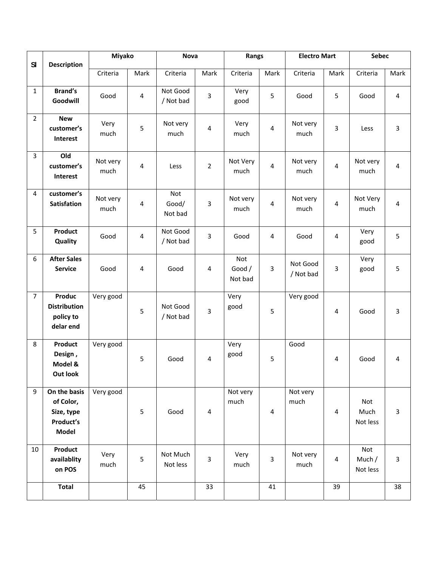| SI             | <b>Description</b>                                                   | <b>Miyako</b>    |                         | <b>Nova</b>             |                         | <b>Rangs</b>             |                         | <b>Electro Mart</b>   |                | <b>Sebec</b>              |      |
|----------------|----------------------------------------------------------------------|------------------|-------------------------|-------------------------|-------------------------|--------------------------|-------------------------|-----------------------|----------------|---------------------------|------|
|                |                                                                      | Criteria         | Mark                    | Criteria                | Mark                    | Criteria                 | Mark                    | Criteria              | Mark           | Criteria                  | Mark |
| $\mathbf{1}$   | <b>Brand's</b><br>Goodwill                                           | Good             | $\overline{\mathbf{4}}$ | Not Good<br>/ Not bad   | 3                       | Very<br>good             | 5                       | Good                  | 5              | Good                      | 4    |
| $\overline{2}$ | <b>New</b><br>customer's<br>Interest                                 | Very<br>much     | 5                       | Not very<br>much        | 4                       | Very<br>much             | 4                       | Not very<br>much      | 3              | Less                      | 3    |
| 3              | Old<br>customer's<br><b>Interest</b>                                 | Not very<br>much | 4                       | Less                    | $\overline{2}$          | Not Very<br>much         | 4                       | Not very<br>much      | 4              | Not very<br>much          | 4    |
| $\overline{4}$ | customer's<br>Satisfation                                            | Not very<br>much | 4                       | Not<br>Good/<br>Not bad | 3                       | Not very<br>much         | $\overline{\mathbf{4}}$ | Not very<br>much      | $\overline{4}$ | Not Very<br>much          | 4    |
| 5              | Product<br>Quality                                                   | Good             | 4                       | Not Good<br>/ Not bad   | 3                       | Good                     | 4                       | Good                  | 4              | Very<br>good              | 5    |
| 6              | <b>After Sales</b><br><b>Service</b>                                 | Good             | 4                       | Good                    | $\overline{4}$          | Not<br>Good /<br>Not bad | 3                       | Not Good<br>/ Not bad | 3              | Very<br>good              | 5    |
| $\overline{7}$ | Produc<br><b>Distribution</b><br>policy to<br>delar end              | Very good        | 5                       | Not Good<br>/ Not bad   | 3                       | Very<br>good             | 5                       | Very good             | 4              | Good                      | 3    |
| 8              | Product<br>Design,<br>Model &<br>Out look                            | Very good        | 5                       | Good                    | $\overline{\mathbf{4}}$ | Very<br>good             | 5                       | Good                  | 4              | Good                      | 4    |
| 9              | On the basis<br>of Color,<br>Size, type<br>Product's<br><b>Model</b> | Very good        | $\mathsf S$             | Good                    | 4                       | Not very<br>much         | 4                       | Not very<br>much      | 4              | Not<br>Much<br>Not less   | 3    |
| 10             | Product<br>availablity<br>on POS                                     | Very<br>much     | 5                       | Not Much<br>Not less    | 3                       | Very<br>much             | 3                       | Not very<br>much      | 4              | Not<br>Much /<br>Not less | 3    |
|                | <b>Total</b>                                                         |                  | 45                      |                         | 33                      |                          | 41                      |                       | 39             |                           | 38   |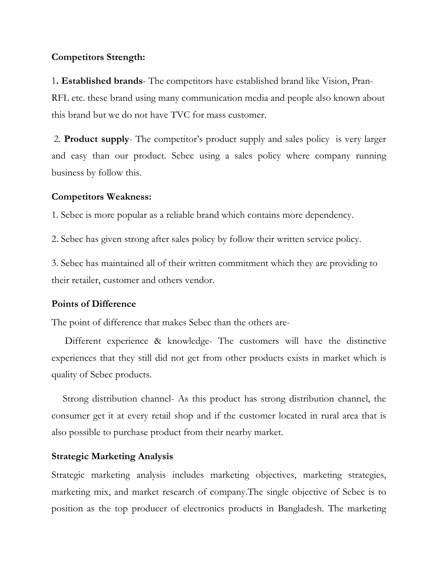#### **Competitors Strength:**

1**. Established brands**- The competitors have established brand like Vision, Pran-RFL etc. these brand using many communication media and people also known about this brand but we do not have TVC for mass customer.

 2. **Product supply**- The competitor's product supply and sales policy is very larger and easy than our product. Sebec using a sales policy where company running business by follow this.

#### **Competitors Weakness:**

1. Sebec is more popular as a reliable brand which contains more dependency.

2. Sebec has given strong after sales policy by follow their written service policy.

3. Sebec has maintained all of their written commitment which they are providing to their retailer, customer and others vendor.

#### **Points of Difference**

The point of difference that makes Sebec than the others are-

 Different experience & knowledge- The customers will have the distinctive experiences that they still did not get from other products exists in market which is quality of Sebec products.

 Strong distribution channel- As this product has strong distribution channel, the consumer get it at every retail shop and if the customer located in rural area that is also possible to purchase product from their nearby market.

#### **Strategic Marketing Analysis**

Strategic marketing analysis includes marketing objectives, marketing strategies, marketing mix, and market research of company.The single objective of Sebec is to position as the top producer of electronics products in Bangladesh. The marketing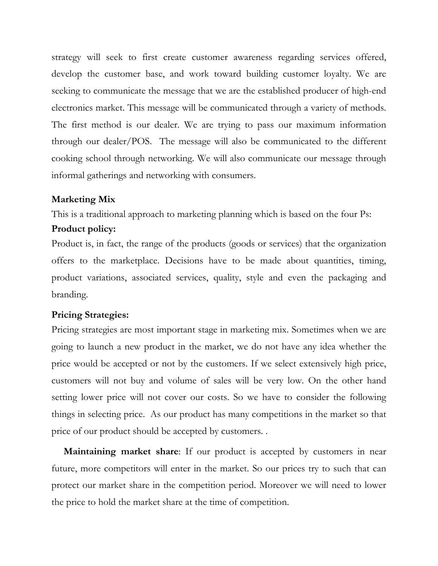strategy will seek to first create customer awareness regarding services offered, develop the customer base, and work toward building customer loyalty. We are seeking to communicate the message that we are the established producer of high-end electronics market. This message will be communicated through a variety of methods. The first method is our dealer. We are trying to pass our maximum information through our dealer/POS. The message will also be communicated to the different cooking school through networking. We will also communicate our message through informal gatherings and networking with consumers.

#### **Marketing Mix**

This is a traditional approach to marketing planning which is based on the four Ps:

### **Product policy:**

Product is, in fact, the range of the products (goods or services) that the organization offers to the marketplace. Decisions have to be made about quantities, timing, product variations, associated services, quality, style and even the packaging and branding.

#### **Pricing Strategies:**

Pricing strategies are most important stage in marketing mix. Sometimes when we are going to launch a new product in the market, we do not have any idea whether the price would be accepted or not by the customers. If we select extensively high price, customers will not buy and volume of sales will be very low. On the other hand setting lower price will not cover our costs. So we have to consider the following things in selecting price. As our product has many competitions in the market so that price of our product should be accepted by customers. .

**Maintaining market share:** If our product is accepted by customers in near future, more competitors will enter in the market. So our prices try to such that can protect our market share in the competition period. Moreover we will need to lower the price to hold the market share at the time of competition.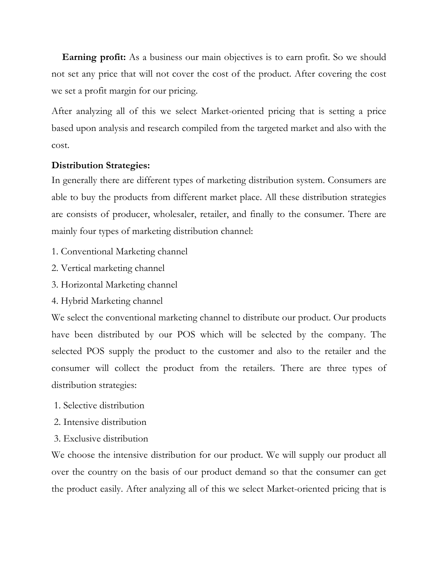**Earning profit:** As a business our main objectives is to earn profit. So we should not set any price that will not cover the cost of the product. After covering the cost we set a profit margin for our pricing.

After analyzing all of this we select Market-oriented pricing that is setting a price based upon analysis and research compiled from the targeted market and also with the cost.

# **Distribution Strategies:**

In generally there are different types of marketing distribution system. Consumers are able to buy the products from different market place. All these distribution strategies are consists of producer, wholesaler, retailer, and finally to the consumer. There are mainly four types of marketing distribution channel:

- 1. Conventional Marketing channel
- 2. Vertical marketing channel
- 3. Horizontal Marketing channel
- 4. Hybrid Marketing channel

We select the conventional marketing channel to distribute our product. Our products have been distributed by our POS which will be selected by the company. The selected POS supply the product to the customer and also to the retailer and the consumer will collect the product from the retailers. There are three types of distribution strategies:

- 1. Selective distribution
- 2. Intensive distribution
- 3. Exclusive distribution

We choose the intensive distribution for our product. We will supply our product all over the country on the basis of our product demand so that the consumer can get the product easily. After analyzing all of this we select Market-oriented pricing that is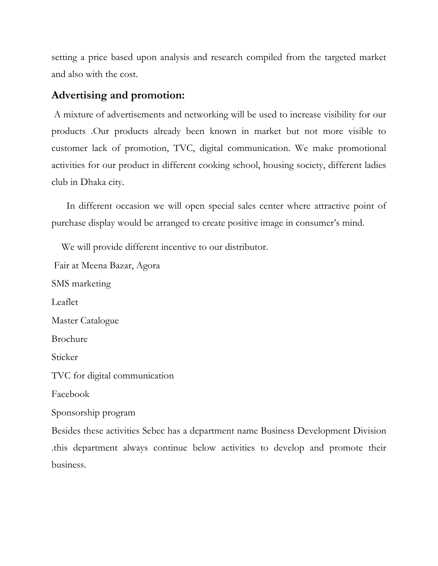setting a price based upon analysis and research compiled from the targeted market and also with the cost.

# **Advertising and promotion:**

A mixture of advertisements and networking will be used to increase visibility for our products .Our products already been known in market but not more visible to customer lack of promotion, TVC, digital communication. We make promotional activities for our product in different cooking school, housing society, different ladies club in Dhaka city.

 In different occasion we will open special sales center where attractive point of purchase display would be arranged to create positive image in consumer's mind.

 We will provide different incentive to our distributor. Fair at Meena Bazar, Agora SMS marketing Leaflet Master Catalogue Brochure **Sticker** TVC for digital communication Facebook Sponsorship program

Besides these activities Sebec has a department name Business Development Division .this department always continue below activities to develop and promote their business.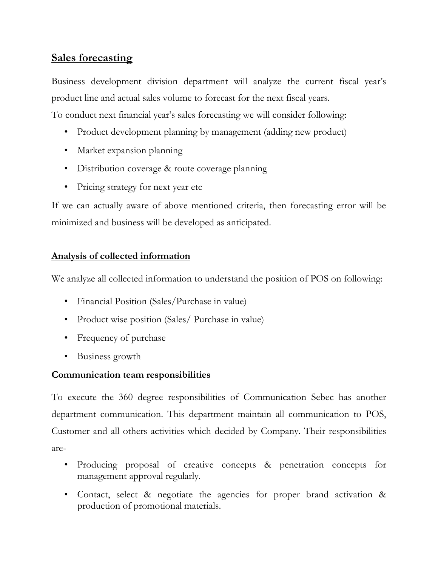# **Sales forecasting**

Business development division department will analyze the current fiscal year's product line and actual sales volume to forecast for the next fiscal years.

To conduct next financial year's sales forecasting we will consider following:

- Product development planning by management (adding new product)
- Market expansion planning
- Distribution coverage & route coverage planning
- Pricing strategy for next year etc

If we can actually aware of above mentioned criteria, then forecasting error will be minimized and business will be developed as anticipated.

# **Analysis of collected information**

We analyze all collected information to understand the position of POS on following:

- Financial Position (Sales/Purchase in value)
- Product wise position (Sales / Purchase in value)
- Frequency of purchase
- Business growth

# **Communication team responsibilities**

To execute the 360 degree responsibilities of Communication Sebec has another department communication. This department maintain all communication to POS, Customer and all others activities which decided by Company. Their responsibilities are-

- Producing proposal of creative concepts & penetration concepts for management approval regularly.
- Contact, select & negotiate the agencies for proper brand activation & production of promotional materials.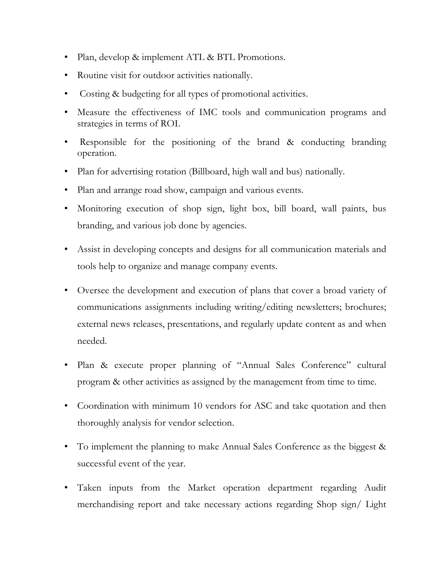- Plan, develop & implement ATL & BTL Promotions.
- Routine visit for outdoor activities nationally.
- Costing & budgeting for all types of promotional activities.
- Measure the effectiveness of IMC tools and communication programs and strategies in terms of ROI.
- Responsible for the positioning of the brand & conducting branding operation.
- Plan for advertising rotation (Billboard, high wall and bus) nationally.
- Plan and arrange road show, campaign and various events.
- Monitoring execution of shop sign, light box, bill board, wall paints, bus branding, and various job done by agencies.
- Assist in developing concepts and designs for all communication materials and tools help to organize and manage company events.
- Oversee the development and execution of plans that cover a broad variety of communications assignments including writing/editing newsletters; brochures; external news releases, presentations, and regularly update content as and when needed.
- Plan & execute proper planning of "Annual Sales Conference" cultural program & other activities as assigned by the management from time to time.
- Coordination with minimum 10 vendors for ASC and take quotation and then thoroughly analysis for vendor selection.
- To implement the planning to make Annual Sales Conference as the biggest & successful event of the year.
- Taken inputs from the Market operation department regarding Audit merchandising report and take necessary actions regarding Shop sign/ Light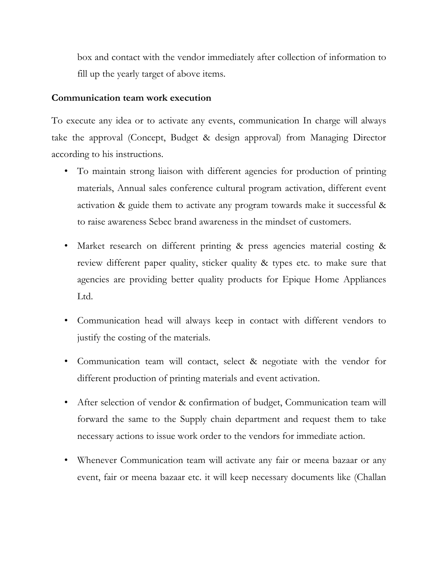box and contact with the vendor immediately after collection of information to fill up the yearly target of above items.

### **Communication team work execution**

To execute any idea or to activate any events, communication In charge will always take the approval (Concept, Budget & design approval) from Managing Director according to his instructions.

- To maintain strong liaison with different agencies for production of printing materials, Annual sales conference cultural program activation, different event activation & guide them to activate any program towards make it successful & to raise awareness Sebec brand awareness in the mindset of customers.
- Market research on different printing & press agencies material costing & review different paper quality, sticker quality & types etc. to make sure that agencies are providing better quality products for Epique Home Appliances Ltd.
- Communication head will always keep in contact with different vendors to justify the costing of the materials.
- Communication team will contact, select & negotiate with the vendor for different production of printing materials and event activation.
- After selection of vendor & confirmation of budget, Communication team will forward the same to the Supply chain department and request them to take necessary actions to issue work order to the vendors for immediate action.
- Whenever Communication team will activate any fair or meena bazaar or any event, fair or meena bazaar etc. it will keep necessary documents like (Challan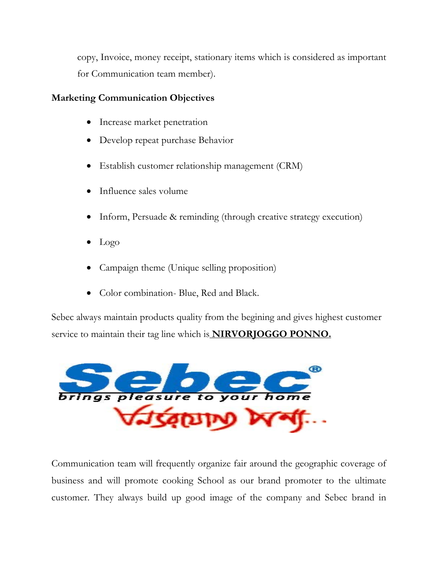copy, Invoice, money receipt, stationary items which is considered as important for Communication team member).

# **Marketing Communication Objectives**

- Increase market penetration
- Develop repeat purchase Behavior
- Establish customer relationship management (CRM)
- Influence sales volume
- Inform, Persuade & reminding (through creative strategy execution)
- Logo
- Campaign theme (Unique selling proposition)
- Color combination- Blue, Red and Black.

Sebec always maintain products quality from the begining and gives highest customer service to maintain their tag line which is **NIRVORJOGGO PONNO.**



Communication team will frequently organize fair around the geographic coverage of business and will promote cooking School as our brand promoter to the ultimate customer. They always build up good image of the company and Sebec brand in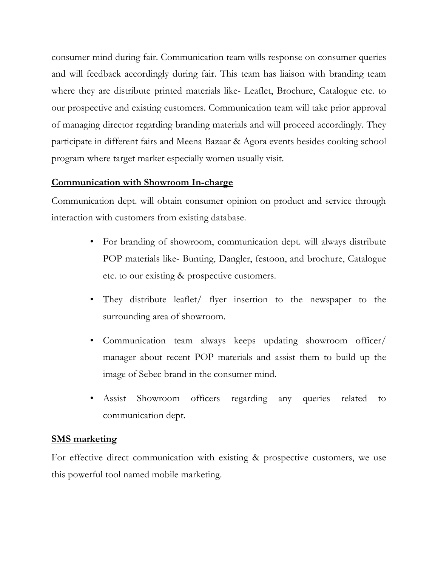consumer mind during fair. Communication team wills response on consumer queries and will feedback accordingly during fair. This team has liaison with branding team where they are distribute printed materials like- Leaflet, Brochure, Catalogue etc. to our prospective and existing customers. Communication team will take prior approval of managing director regarding branding materials and will proceed accordingly. They participate in different fairs and Meena Bazaar & Agora events besides cooking school program where target market especially women usually visit.

# **Communication with Showroom In-charge**

Communication dept. will obtain consumer opinion on product and service through interaction with customers from existing database.

- For branding of showroom, communication dept. will always distribute POP materials like- Bunting, Dangler, festoon, and brochure, Catalogue etc. to our existing & prospective customers.
- They distribute leaflet/ flyer insertion to the newspaper to the surrounding area of showroom.
- Communication team always keeps updating showroom officer/ manager about recent POP materials and assist them to build up the image of Sebec brand in the consumer mind.
- Assist Showroom officers regarding any queries related to communication dept.

# **SMS marketing**

For effective direct communication with existing & prospective customers, we use this powerful tool named mobile marketing.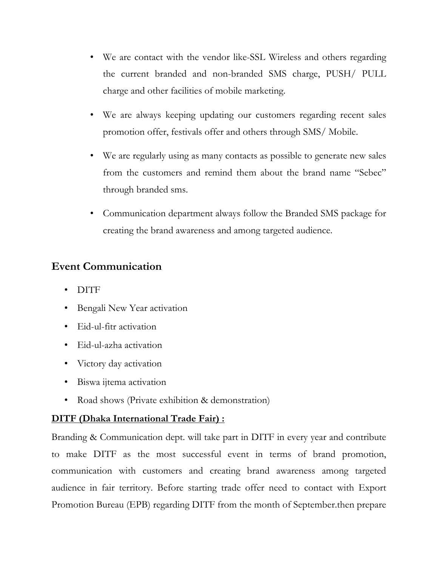- We are contact with the vendor like-SSL Wireless and others regarding the current branded and non-branded SMS charge, PUSH/ PULL charge and other facilities of mobile marketing.
- We are always keeping updating our customers regarding recent sales promotion offer, festivals offer and others through SMS/ Mobile.
- We are regularly using as many contacts as possible to generate new sales from the customers and remind them about the brand name "Sebec" through branded sms.
- Communication department always follow the Branded SMS package for creating the brand awareness and among targeted audience.

# **Event Communication**

- DITF
- Bengali New Year activation
- Eid-ul-fitr activation
- Eid-ul-azha activation
- Victory day activation
- Biswa ijtema activation
- Road shows (Private exhibition & demonstration)

### **DITF (Dhaka International Trade Fair) :**

Branding & Communication dept. will take part in DITF in every year and contribute to make DITF as the most successful event in terms of brand promotion, communication with customers and creating brand awareness among targeted audience in fair territory. Before starting trade offer need to contact with Export Promotion Bureau (EPB) regarding DITF from the month of September.then prepare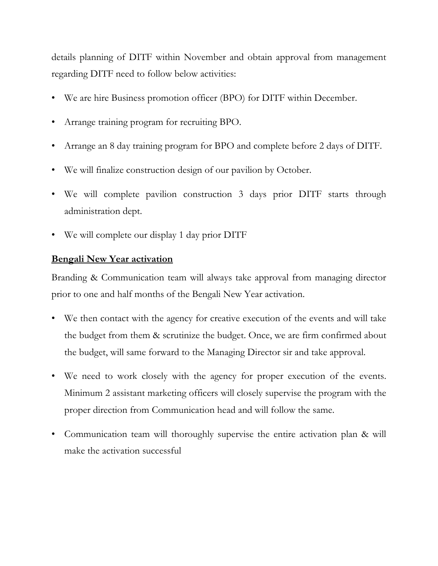details planning of DITF within November and obtain approval from management regarding DITF need to follow below activities:

- We are hire Business promotion officer (BPO) for DITF within December.
- Arrange training program for recruiting BPO.
- Arrange an 8 day training program for BPO and complete before 2 days of DITF.
- We will finalize construction design of our pavilion by October.
- We will complete pavilion construction 3 days prior DITF starts through administration dept.
- We will complete our display 1 day prior DITF

# **Bengali New Year activation**

Branding & Communication team will always take approval from managing director prior to one and half months of the Bengali New Year activation.

- We then contact with the agency for creative execution of the events and will take the budget from them & scrutinize the budget. Once, we are firm confirmed about the budget, will same forward to the Managing Director sir and take approval.
- We need to work closely with the agency for proper execution of the events. Minimum 2 assistant marketing officers will closely supervise the program with the proper direction from Communication head and will follow the same.
- Communication team will thoroughly supervise the entire activation plan & will make the activation successful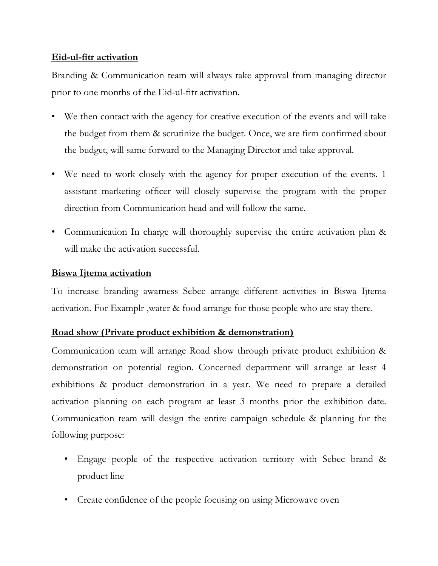# **Eid-ul-fitr activation**

Branding & Communication team will always take approval from managing director prior to one months of the Eid-ul-fitr activation.

- We then contact with the agency for creative execution of the events and will take the budget from them & scrutinize the budget. Once, we are firm confirmed about the budget, will same forward to the Managing Director and take approval.
- We need to work closely with the agency for proper execution of the events. 1 assistant marketing officer will closely supervise the program with the proper direction from Communication head and will follow the same.
- Communication In charge will thoroughly supervise the entire activation plan & will make the activation successful.

# **Biswa Ijtema activation**

To increase branding awarness Sebec arrange different activities in Biswa Ijtema activation. For Examplr ,water & food arrange for those people who are stay there.

# **Road show (Private product exhibition & demonstration)**

Communication team will arrange Road show through private product exhibition & demonstration on potential region. Concerned department will arrange at least 4 exhibitions & product demonstration in a year. We need to prepare a detailed activation planning on each program at least 3 months prior the exhibition date. Communication team will design the entire campaign schedule & planning for the following purpose:

- Engage people of the respective activation territory with Sebec brand & product line
- Create confidence of the people focusing on using Microwave oven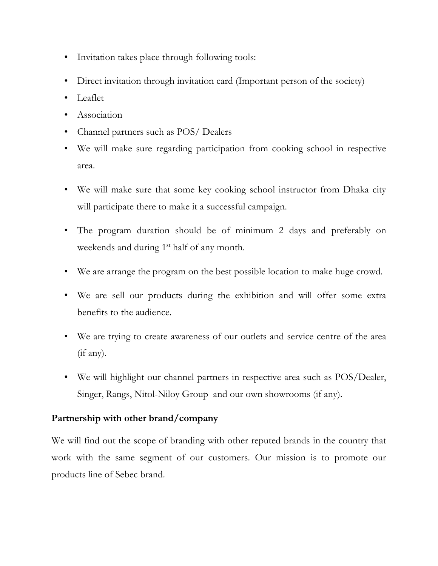- Invitation takes place through following tools:
- Direct invitation through invitation card (Important person of the society)
- Leaflet
- **Association**
- Channel partners such as POS/ Dealers
- We will make sure regarding participation from cooking school in respective area.
- We will make sure that some key cooking school instructor from Dhaka city will participate there to make it a successful campaign.
- The program duration should be of minimum 2 days and preferably on weekends and during 1<sup>st</sup> half of any month.
- We are arrange the program on the best possible location to make huge crowd.
- We are sell our products during the exhibition and will offer some extra benefits to the audience.
- We are trying to create awareness of our outlets and service centre of the area (if any).
- We will highlight our channel partners in respective area such as POS/Dealer, Singer, Rangs, Nitol-Niloy Group and our own showrooms (if any).

# **Partnership with other brand/company**

We will find out the scope of branding with other reputed brands in the country that work with the same segment of our customers. Our mission is to promote our products line of Sebec brand.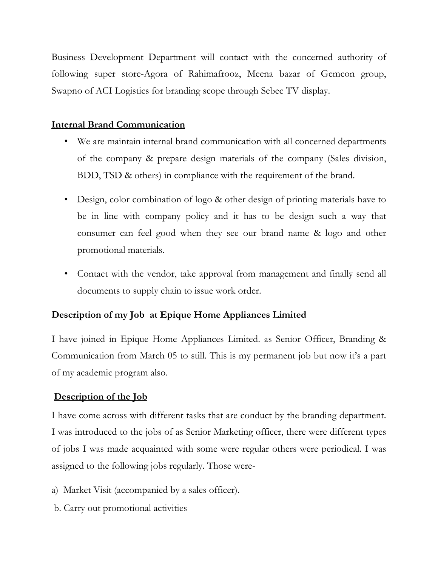Business Development Department will contact with the concerned authority of following super store-Agora of Rahimafrooz, Meena bazar of Gemcon group, Swapno of ACI Logistics for branding scope through Sebec TV display.

### **Internal Brand Communication**

- We are maintain internal brand communication with all concerned departments of the company & prepare design materials of the company (Sales division, BDD, TSD & others) in compliance with the requirement of the brand.
- Design, color combination of logo & other design of printing materials have to be in line with company policy and it has to be design such a way that consumer can feel good when they see our brand name & logo and other promotional materials.
- Contact with the vendor, take approval from management and finally send all documents to supply chain to issue work order.

# **Description of my Job at Epique Home Appliances Limited**

I have joined in Epique Home Appliances Limited. as Senior Officer, Branding & Communication from March 05 to still. This is my permanent job but now it's a part of my academic program also.

# **Description of the Job**

I have come across with different tasks that are conduct by the branding department. I was introduced to the jobs of as Senior Marketing officer, there were different types of jobs I was made acquainted with some were regular others were periodical. I was assigned to the following jobs regularly. Those were-

- a) Market Visit (accompanied by a sales officer).
- b. Carry out promotional activities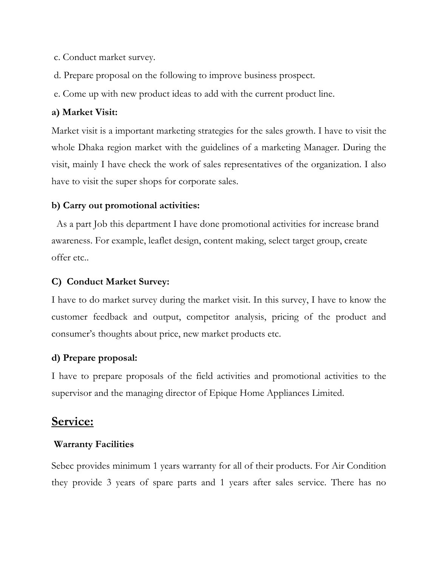- c. Conduct market survey.
- d. Prepare proposal on the following to improve business prospect.
- e. Come up with new product ideas to add with the current product line.

#### **a) Market Visit:**

Market visit is a important marketing strategies for the sales growth. I have to visit the whole Dhaka region market with the guidelines of a marketing Manager. During the visit, mainly I have check the work of sales representatives of the organization. I also have to visit the super shops for corporate sales.

### **b) Carry out promotional activities:**

 As a part Job this department I have done promotional activities for increase brand awareness. For example, leaflet design, content making, select target group, create offer etc..

### **C) Conduct Market Survey:**

I have to do market survey during the market visit. In this survey, I have to know the customer feedback and output, competitor analysis, pricing of the product and consumer's thoughts about price, new market products etc.

#### **d) Prepare proposal:**

I have to prepare proposals of the field activities and promotional activities to the supervisor and the managing director of Epique Home Appliances Limited.

# **Service:**

#### **Warranty Facilities**

Sebec provides minimum 1 years warranty for all of their products. For Air Condition they provide 3 years of spare parts and 1 years after sales service. There has no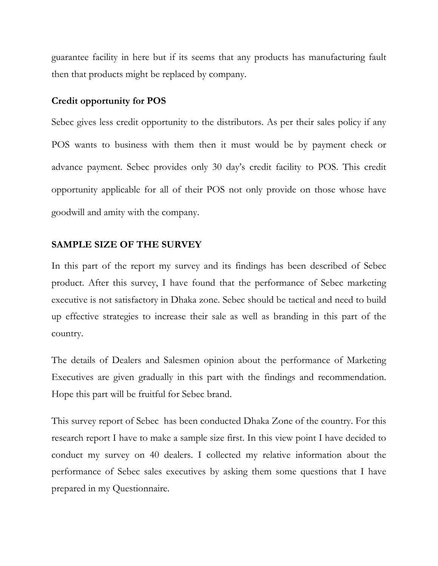guarantee facility in here but if its seems that any products has manufacturing fault then that products might be replaced by company.

### **Credit opportunity for POS**

Sebec gives less credit opportunity to the distributors. As per their sales policy if any POS wants to business with them then it must would be by payment check or advance payment. Sebec provides only 30 day's credit facility to POS. This credit opportunity applicable for all of their POS not only provide on those whose have goodwill and amity with the company.

# **SAMPLE SIZE OF THE SURVEY**

In this part of the report my survey and its findings has been described of Sebec product. After this survey, I have found that the performance of Sebec marketing executive is not satisfactory in Dhaka zone. Sebec should be tactical and need to build up effective strategies to increase their sale as well as branding in this part of the country.

The details of Dealers and Salesmen opinion about the performance of Marketing Executives are given gradually in this part with the findings and recommendation. Hope this part will be fruitful for Sebec brand.

This survey report of Sebec has been conducted Dhaka Zone of the country. For this research report I have to make a sample size first. In this view point I have decided to conduct my survey on 40 dealers. I collected my relative information about the performance of Sebec sales executives by asking them some questions that I have prepared in my Questionnaire.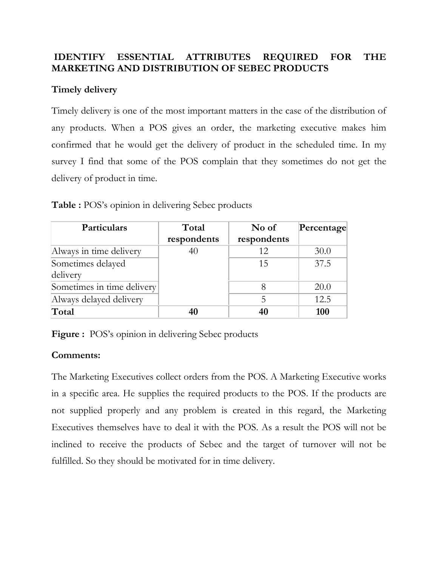# **IDENTIFY ESSENTIAL ATTRIBUTES REQUIRED FOR THE MARKETING AND DISTRIBUTION OF SEBEC PRODUCTS**

# **Timely delivery**

Timely delivery is one of the most important matters in the case of the distribution of any products. When a POS gives an order, the marketing executive makes him confirmed that he would get the delivery of product in the scheduled time. In my survey I find that some of the POS complain that they sometimes do not get the delivery of product in time.

| Particulars                | Total       | No of       | Percentage |
|----------------------------|-------------|-------------|------------|
|                            | respondents | respondents |            |
| Always in time delivery    | 40          | 12          | 30.0       |
| Sometimes delayed          |             | 15          | 37.5       |
| delivery                   |             |             |            |
| Sometimes in time delivery |             |             | 20.0       |
| Always delayed delivery    |             |             | 12.5       |
| Total                      |             |             | 100        |

|  |  |  | Table : POS's opinion in delivering Sebec products |
|--|--|--|----------------------------------------------------|
|--|--|--|----------------------------------------------------|

**Figure :** POS's opinion in delivering Sebec products

# **Comments:**

The Marketing Executives collect orders from the POS. A Marketing Executive works in a specific area. He supplies the required products to the POS. If the products are not supplied properly and any problem is created in this regard, the Marketing Executives themselves have to deal it with the POS. As a result the POS will not be inclined to receive the products of Sebec and the target of turnover will not be fulfilled. So they should be motivated for in time delivery.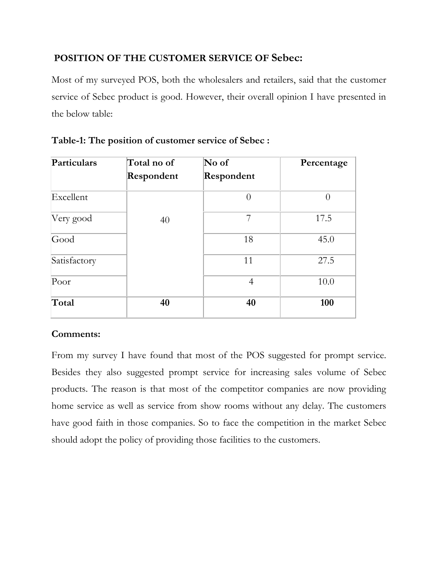# **POSITION OF THE CUSTOMER SERVICE OF Sebec:**

Most of my surveyed POS, both the wholesalers and retailers, said that the customer service of Sebec product is good. However, their overall opinion I have presented in the below table:

| Particulars  | Total no of<br>Respondent | No of<br>Respondent | Percentage |
|--------------|---------------------------|---------------------|------------|
| Excellent    |                           | $\overline{0}$      | $\theta$   |
| Very good    | 40                        | 7                   | 17.5       |
| Good         |                           | 18                  | 45.0       |
| Satisfactory |                           | 11                  | 27.5       |
| Poor         |                           | $\overline{4}$      | 10.0       |
| Total        | 40                        | 40                  | 100        |

# **Table-1: The position of customer service of Sebec :**

# **Comments:**

From my survey I have found that most of the POS suggested for prompt service. Besides they also suggested prompt service for increasing sales volume of Sebec products. The reason is that most of the competitor companies are now providing home service as well as service from show rooms without any delay. The customers have good faith in those companies. So to face the competition in the market Sebec should adopt the policy of providing those facilities to the customers.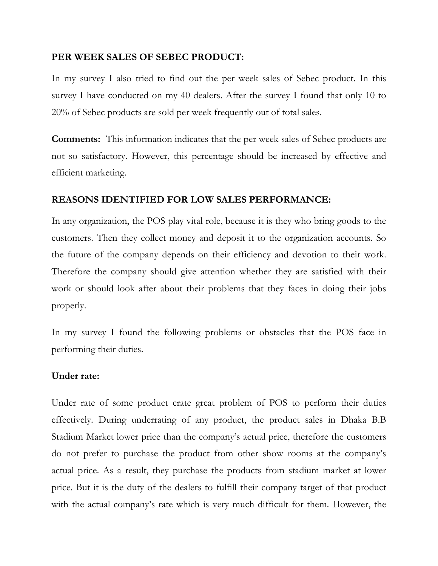### **PER WEEK SALES OF SEBEC PRODUCT:**

In my survey I also tried to find out the per week sales of Sebec product. In this survey I have conducted on my 40 dealers. After the survey I found that only 10 to 20% of Sebec products are sold per week frequently out of total sales.

**Comments:** This information indicates that the per week sales of Sebec products are not so satisfactory. However, this percentage should be increased by effective and efficient marketing.

### **REASONS IDENTIFIED FOR LOW SALES PERFORMANCE:**

In any organization, the POS play vital role, because it is they who bring goods to the customers. Then they collect money and deposit it to the organization accounts. So the future of the company depends on their efficiency and devotion to their work. Therefore the company should give attention whether they are satisfied with their work or should look after about their problems that they faces in doing their jobs properly.

In my survey I found the following problems or obstacles that the POS face in performing their duties.

#### **Under rate:**

Under rate of some product crate great problem of POS to perform their duties effectively. During underrating of any product, the product sales in Dhaka B.B Stadium Market lower price than the company's actual price, therefore the customers do not prefer to purchase the product from other show rooms at the company's actual price. As a result, they purchase the products from stadium market at lower price. But it is the duty of the dealers to fulfill their company target of that product with the actual company's rate which is very much difficult for them. However, the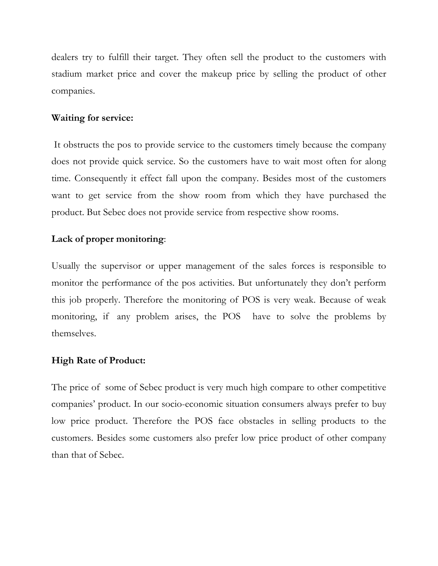dealers try to fulfill their target. They often sell the product to the customers with stadium market price and cover the makeup price by selling the product of other companies.

### **Waiting for service:**

 It obstructs the pos to provide service to the customers timely because the company does not provide quick service. So the customers have to wait most often for along time. Consequently it effect fall upon the company. Besides most of the customers want to get service from the show room from which they have purchased the product. But Sebec does not provide service from respective show rooms.

### **Lack of proper monitoring**:

Usually the supervisor or upper management of the sales forces is responsible to monitor the performance of the pos activities. But unfortunately they don't perform this job properly. Therefore the monitoring of POS is very weak. Because of weak monitoring, if any problem arises, the POS have to solve the problems by themselves.

# **High Rate of Product:**

The price ofsome of Sebec product is very much high compare to other competitive companies' product. In our socio-economic situation consumers always prefer to buy low price product. Therefore the POS face obstacles in selling products to the customers. Besides some customers also prefer low price product of other company than that of Sebec.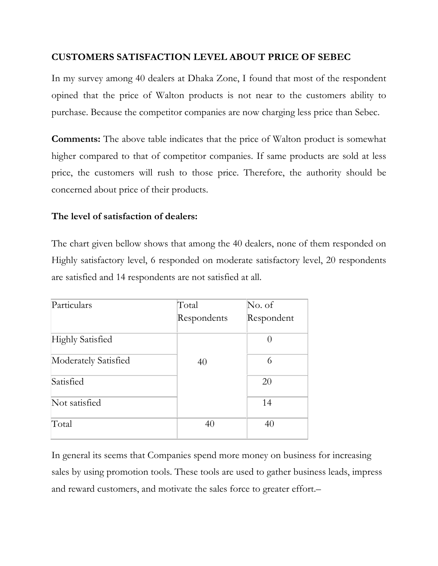# **CUSTOMERS SATISFACTION LEVEL ABOUT PRICE OF SEBEC**

In my survey among 40 dealers at Dhaka Zone, I found that most of the respondent opined that the price of Walton products is not near to the customers ability to purchase. Because the competitor companies are now charging less price than Sebec.

**Comments:** The above table indicates that the price of Walton product is somewhat higher compared to that of competitor companies. If same products are sold at less price, the customers will rush to those price. Therefore, the authority should be concerned about price of their products.

# **The level of satisfaction of dealers:**

The chart given bellow shows that among the 40 dealers, none of them responded on Highly satisfactory level, 6 responded on moderate satisfactory level, 20 respondents are satisfied and 14 respondents are not satisfied at all.

| Particulars             | Total       | No. of     |
|-------------------------|-------------|------------|
|                         | Respondents | Respondent |
| <b>Highly Satisfied</b> |             | $\Omega$   |
| Moderately Satisfied    | 40          | 6          |
| Satisfied               |             | 20         |
| Not satisfied           |             | 14         |
| Total                   | 40          | 40         |

In general its seems that Companies spend more money on business for increasing sales by using promotion tools. These tools are used to gather business leads, impress and reward customers, and motivate the sales force to greater effort.–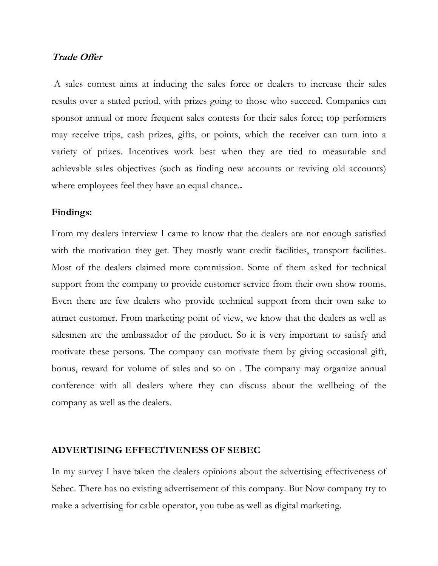#### **Trade Offer**

 A sales contest aims at inducing the sales force or dealers to increase their sales results over a stated period, with prizes going to those who succeed. Companies can sponsor annual or more frequent sales contests for their sales force; top performers may receive trips, cash prizes, gifts, or points, which the receiver can turn into a variety of prizes. Incentives work best when they are tied to measurable and achievable sales objectives (such as finding new accounts or reviving old accounts) where employees feel they have an equal chance.**.**

#### **Findings:**

From my dealers interview I came to know that the dealers are not enough satisfied with the motivation they get. They mostly want credit facilities, transport facilities. Most of the dealers claimed more commission. Some of them asked for technical support from the company to provide customer service from their own show rooms. Even there are few dealers who provide technical support from their own sake to attract customer. From marketing point of view, we know that the dealers as well as salesmen are the ambassador of the product. So it is very important to satisfy and motivate these persons. The company can motivate them by giving occasional gift, bonus, reward for volume of sales and so on . The company may organize annual conference with all dealers where they can discuss about the wellbeing of the company as well as the dealers.

#### **ADVERTISING EFFECTIVENESS OF SEBEC**

In my survey I have taken the dealers opinions about the advertising effectiveness of Sebec. There has no existing advertisement of this company. But Now company try to make a advertising for cable operator, you tube as well as digital marketing.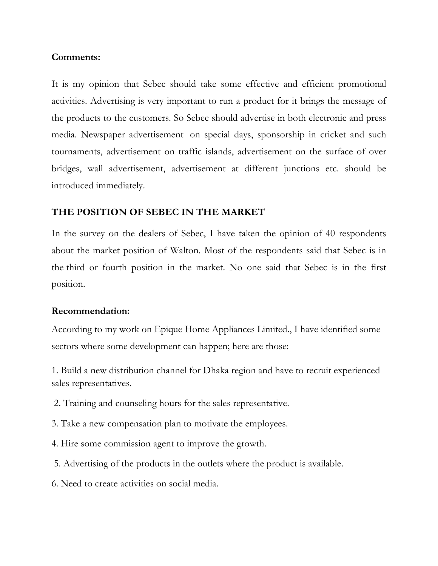### **Comments:**

It is my opinion that Sebec should take some effective and efficient promotional activities. Advertising is very important to run a product for it brings the message of the products to the customers. So Sebec should advertise in both electronic and press media. Newspaper advertisement on special days, sponsorship in cricket and such tournaments, advertisement on traffic islands, advertisement on the surface of over bridges, wall advertisement, advertisement at different junctions etc. should be introduced immediately.

### **THE POSITION OF SEBEC IN THE MARKET**

In the survey on the dealers of Sebec, I have taken the opinion of 40 respondents about the market position of Walton. Most of the respondents said that Sebec is in the third or fourth position in the market. No one said that Sebec is in the first position.

### **Recommendation:**

According to my work on Epique Home Appliances Limited., I have identified some sectors where some development can happen; here are those:

1. Build a new distribution channel for Dhaka region and have to recruit experienced sales representatives.

- 2. Training and counseling hours for the sales representative.
- 3. Take a new compensation plan to motivate the employees.
- 4. Hire some commission agent to improve the growth.
- 5. Advertising of the products in the outlets where the product is available.
- 6. Need to create activities on social media.